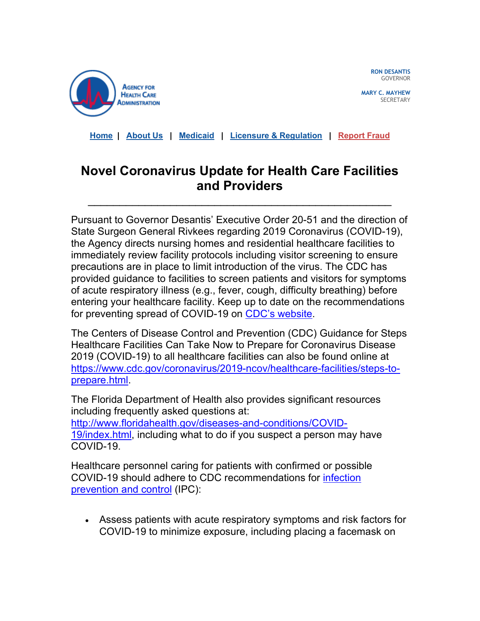

**RON DESANTIS** GOVERNOR

**MARY C. MAYHEW SECRETARY** 

**[Home](https://clicktime.symantec.com/3MSSz5QEb2eZL6c5jxAhGFe7Vc?u=https%3A%2F%2Fclick.icptrack.com%2Ficp%2Frelay.php%3Fr%3D18105036%26msgid%3D842373%26act%3DUPNE%26c%3D227375%26destination%3Dhttp%253A%252F%252Fahca.myflorida.com%253Futm_source%253DiContact%2526utm_medium%253Demail%2526utm_campaign%253Dhqa-alert%2526utm_content%253DCOVID19_Update_All%252BProviders-322020_WR0001) | [About Us](https://clicktime.symantec.com/3U5zT2T2CEVjgt1tNSD3GTC7Vc?u=https%3A%2F%2Fclick.icptrack.com%2Ficp%2Frelay.php%3Fr%3D18105036%26msgid%3D842373%26act%3DUPNE%26c%3D227375%26destination%3Dhttp%253A%252F%252Fahca.myflorida.com%252FInside_AHCA%252Findex.shtml%253Futm_source%253DiContact%2526utm_medium%253Demail%2526utm_campaign%253Dhqa-alert%2526utm_content%253DCOVID19_Update_All%252BProviders-322020_WR0001) | [Medicaid](https://clicktime.symantec.com/35HScZchXfu8bxSu6scQNt97Vc?u=https%3A%2F%2Fclick.icptrack.com%2Ficp%2Frelay.php%3Fr%3D18105036%26msgid%3D842373%26act%3DUPNE%26c%3D227375%26destination%3Dhttp%253A%252F%252Fahca.myflorida.com%252FMedicaid%252Findex.shtml%253Futm_source%253DiContact%2526utm_medium%253Demail%2526utm_campaign%253Dhqa-alert%2526utm_content%253DCOVID19_Update_All%252BProviders-322020_WR0001) | [Licensure & Regulation](https://clicktime.symantec.com/3Mz412WBtHGb6MzjQDJAafc7Vc?u=https%3A%2F%2Fclick.icptrack.com%2Ficp%2Frelay.php%3Fr%3D18105036%26msgid%3D842373%26act%3DUPNE%26c%3D227375%26destination%3Dhttp%253A%252F%252Fahca.myflorida.com%252FMCHQ%252Findex.shtml%253Futm_source%253DiContact%2526utm_medium%253Demail%2526utm_campaign%253Dhqa-alert%2526utm_content%253DCOVID19_Update_All%252BProviders-322020_WR0001) | [Report Fraud](https://clicktime.symantec.com/3EZv83fawg6ce4vBznDNa987Vc?u=https%3A%2F%2Fclick.icptrack.com%2Ficp%2Frelay.php%3Fr%3D18105036%26msgid%3D842373%26act%3DUPNE%26c%3D227375%26destination%3Dhttp%253A%252F%252Fahca.myflorida.com%252FExecutive%252FInspector_General%252Fcomplaints.shtml%253Futm_source%253DiContact%2526utm_medium%253Demail%2526utm_campaign%253Dhqa-alert%2526utm_content%253DCOVID19_Update_All%252BProviders-322020_WR0001)**

## **Novel Coronavirus Update for Health Care Facilities and Providers**

\_\_\_\_\_\_\_\_\_\_\_\_\_\_\_\_\_\_\_\_\_\_\_\_\_\_\_\_\_\_\_\_\_\_\_\_\_\_\_\_\_\_\_\_\_\_\_\_

Pursuant to Governor Desantis' Executive Order 20-51 and the direction of State Surgeon General Rivkees regarding 2019 Coronavirus (COVID-19), the Agency directs nursing homes and residential healthcare facilities to immediately review facility protocols including visitor screening to ensure precautions are in place to limit introduction of the virus. The CDC has provided guidance to facilities to screen patients and visitors for symptoms of acute respiratory illness (e.g., fever, cough, difficulty breathing) before entering your healthcare facility. Keep up to date on the recommendations for preventing spread of COVID-19 on [CDC's website.](https://clicktime.symantec.com/33XHq68wb1qP7K7M1r7q5KR7Vc?u=https%3A%2F%2Fclick.icptrack.com%2Ficp%2Frelay.php%3Fr%3D18105036%26msgid%3D842373%26act%3DUPNE%26c%3D227375%26destination%3Dhttps%253A%252F%252Fwww.cdc.gov%252Fcoronavirus%252F2019-ncov%252Fhcp%252Fcaring-for-patients.html)

The Centers of Disease Control and Prevention (CDC) Guidance for Steps Healthcare Facilities Can Take Now to Prepare for Coronavirus Disease 2019 (COVID-19) to all healthcare facilities can also be found online at [https://www.cdc.gov/coronavirus/2019-ncov/healthcare-facilities/steps-to](https://clicktime.symantec.com/3QdSzuosV7tKyg4ovffz5XK7Vc?u=https%3A%2F%2Fclick.icptrack.com%2Ficp%2Frelay.php%3Fr%3D18105036%26msgid%3D842373%26act%3DUPNE%26c%3D227375%26destination%3Dhttps%253A%252F%252Fwww.cdc.gov%252Fcoronavirus%252F2019-ncov%252Fhealthcare-facilities%252Fsteps-to-prepare.html)[prepare.html.](https://clicktime.symantec.com/3QdSzuosV7tKyg4ovffz5XK7Vc?u=https%3A%2F%2Fclick.icptrack.com%2Ficp%2Frelay.php%3Fr%3D18105036%26msgid%3D842373%26act%3DUPNE%26c%3D227375%26destination%3Dhttps%253A%252F%252Fwww.cdc.gov%252Fcoronavirus%252F2019-ncov%252Fhealthcare-facilities%252Fsteps-to-prepare.html)

The Florida Department of Health also provides significant resources including frequently asked questions at: [http://www.floridahealth.gov/diseases-and-conditions/COVID-](https://clicktime.symantec.com/323AYDzfjJGZT5ruZxYxsTd7Vc?u=https%3A%2F%2Fclick.icptrack.com%2Ficp%2Frelay.php%3Fr%3D18105036%26msgid%3D842373%26act%3DUPNE%26c%3D227375%26destination%3Dhttp%253A%252F%252Fwww.floridahealth.gov%252Fdiseases-and-conditions%252FCOVID-19%252Findex.html)[19/index.html,](https://clicktime.symantec.com/323AYDzfjJGZT5ruZxYxsTd7Vc?u=https%3A%2F%2Fclick.icptrack.com%2Ficp%2Frelay.php%3Fr%3D18105036%26msgid%3D842373%26act%3DUPNE%26c%3D227375%26destination%3Dhttp%253A%252F%252Fwww.floridahealth.gov%252Fdiseases-and-conditions%252FCOVID-19%252Findex.html) including what to do if you suspect a person may have COVID-19.

Healthcare personnel caring for patients with confirmed or possible COVID-19 should adhere to CDC recommendations for [infection](https://clicktime.symantec.com/3SWwiiCRboeVCVYfuX6B8C47Vc?u=https%3A%2F%2Fclick.icptrack.com%2Ficp%2Frelay.php%3Fr%3D18105036%26msgid%3D842373%26act%3DUPNE%26c%3D227375%26destination%3Dhttps%253A%252F%252Fwww.cdc.gov%252Fcoronavirus%252F2019-nCoV%252Fhcp%252Finfection-control.html)  [prevention and control](https://clicktime.symantec.com/3SWwiiCRboeVCVYfuX6B8C47Vc?u=https%3A%2F%2Fclick.icptrack.com%2Ficp%2Frelay.php%3Fr%3D18105036%26msgid%3D842373%26act%3DUPNE%26c%3D227375%26destination%3Dhttps%253A%252F%252Fwww.cdc.gov%252Fcoronavirus%252F2019-nCoV%252Fhcp%252Finfection-control.html) (IPC):

• Assess patients with acute respiratory symptoms and risk factors for COVID-19 to minimize exposure, including placing a facemask on